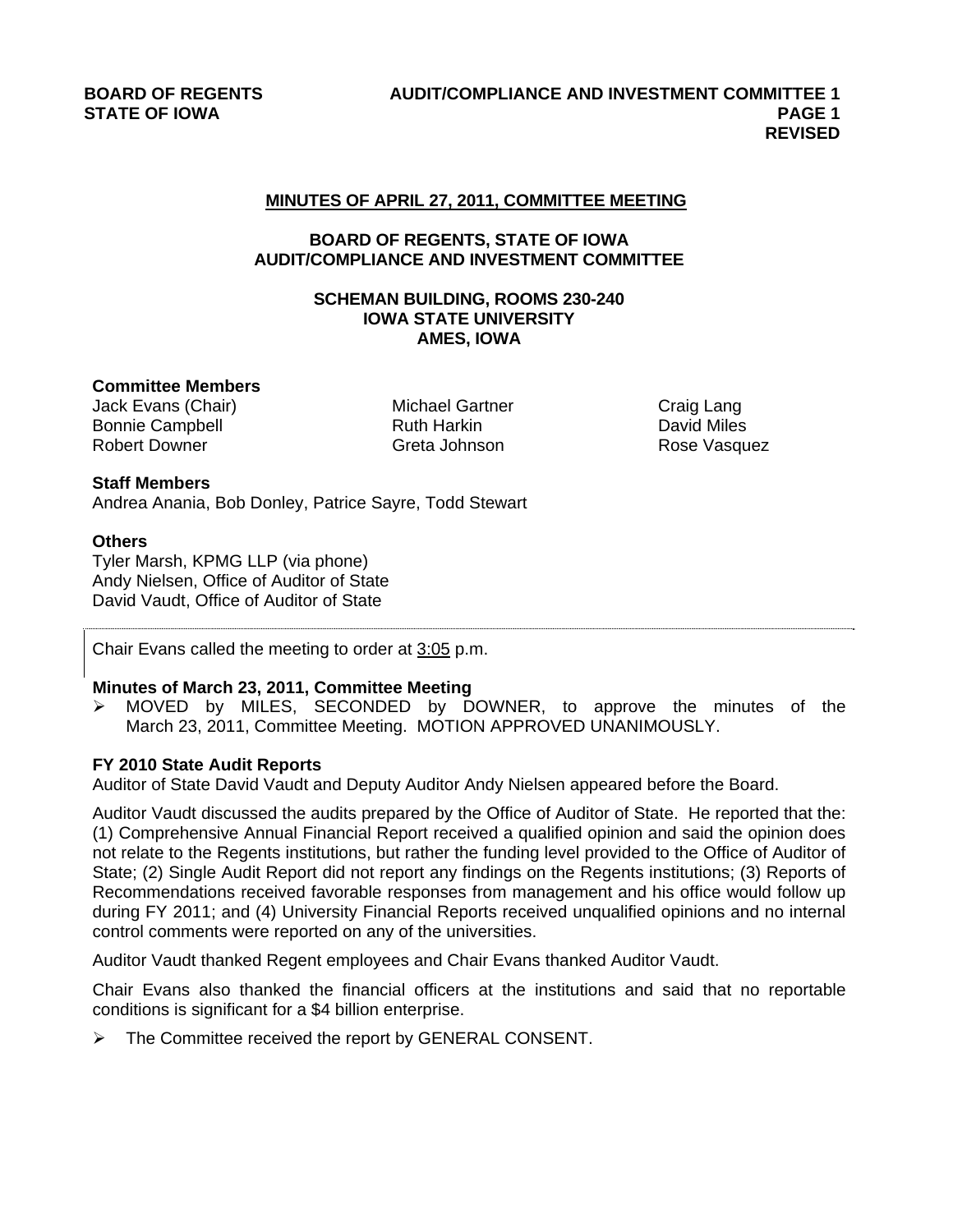## **MINUTES OF APRIL 27, 2011, COMMITTEE MEETING**

# **BOARD OF REGENTS, STATE OF IOWA AUDIT/COMPLIANCE AND INVESTMENT COMMITTEE**

# **SCHEMAN BUILDING, ROOMS 230-240 IOWA STATE UNIVERSITY AMES, IOWA**

#### **Committee Members**

Jack Evans (Chair) Michael Gartner Craig Lang Bonnie Campbell **Ruth Harkin** Ruth Harkin **David Miles** Robert Downer **Greta Johnson** Greta Johnson Rose Vasquez

**Staff Members**  Andrea Anania, Bob Donley, Patrice Sayre, Todd Stewart

### **Others**

Tyler Marsh, KPMG LLP (via phone) Andy Nielsen, Office of Auditor of State David Vaudt, Office of Auditor of State

Chair Evans called the meeting to order at  $3:05$  p.m.

#### **Minutes of March 23, 2011, Committee Meeting**

 MOVED by MILES, SECONDED by DOWNER, to approve the minutes of the March 23, 2011, Committee Meeting. MOTION APPROVED UNANIMOUSLY.

## **FY 2010 State Audit Reports**

Auditor of State David Vaudt and Deputy Auditor Andy Nielsen appeared before the Board.

Auditor Vaudt discussed the audits prepared by the Office of Auditor of State. He reported that the: (1) Comprehensive Annual Financial Report received a qualified opinion and said the opinion does not relate to the Regents institutions, but rather the funding level provided to the Office of Auditor of State; (2) Single Audit Report did not report any findings on the Regents institutions; (3) Reports of Recommendations received favorable responses from management and his office would follow up during FY 2011; and (4) University Financial Reports received unqualified opinions and no internal control comments were reported on any of the universities.

Auditor Vaudt thanked Regent employees and Chair Evans thanked Auditor Vaudt.

Chair Evans also thanked the financial officers at the institutions and said that no reportable conditions is significant for a \$4 billion enterprise.

 $\triangleright$  The Committee received the report by GENERAL CONSENT.